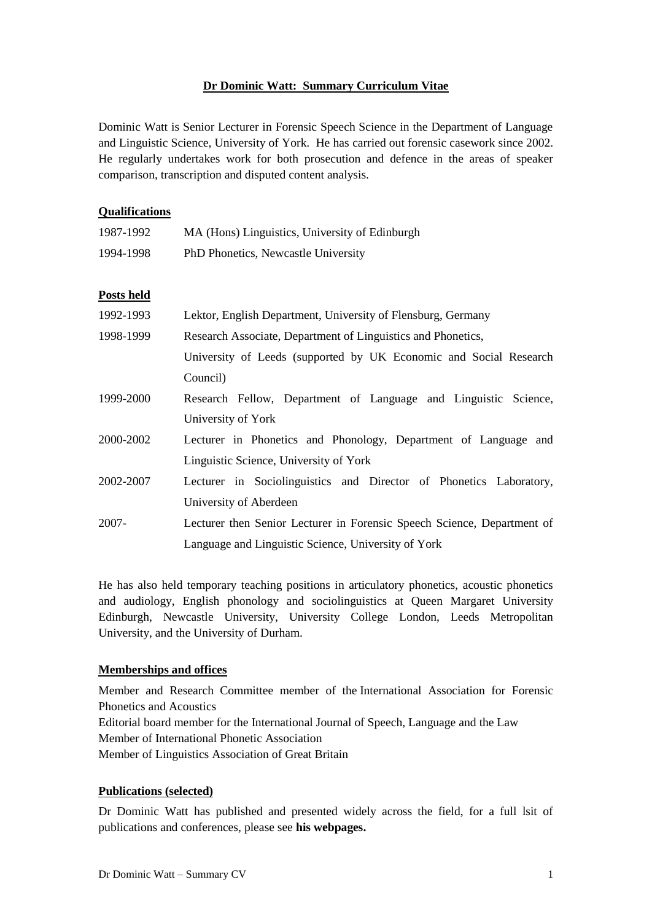#### **Dr Dominic Watt: Summary Curriculum Vitae**

Dominic Watt is Senior Lecturer in Forensic Speech Science in the Department of Language and Linguistic Science, University of York. He has carried out forensic casework since 2002. He regularly undertakes work for both prosecution and defence in the areas of speaker comparison, transcription and disputed content analysis.

# **Qualifications** 1987-1992 MA (Hons) Linguistics, University of Edinburgh 1994-1998 PhD Phonetics, Newcastle University **Posts held** 1992-1993 Lektor, English Department, University of Flensburg, Germany 1998-1999 Research Associate, Department of Linguistics and Phonetics, University of Leeds (supported by UK Economic and Social Research Council) 1999-2000 Research Fellow, Department of Language and Linguistic Science, University of York 2000-2002 Lecturer in Phonetics and Phonology, Department of Language and Linguistic Science, University of York 2002-2007 Lecturer in Sociolinguistics and Director of Phonetics Laboratory, University of Aberdeen 2007- Lecturer then Senior Lecturer in Forensic Speech Science, Department of Language and Linguistic Science, University of York

He has also held temporary teaching positions in articulatory phonetics, acoustic phonetics and audiology, English phonology and sociolinguistics at Queen Margaret University Edinburgh, Newcastle University, University College London, Leeds Metropolitan University, and the University of Durham.

## **Memberships and offices**

Member and Research Committee member of the International Association for Forensic Phonetics and Acoustics Editorial board member for the International Journal of Speech, Language and the Law Member of International Phonetic Association Member of Linguistics Association of Great Britain

## **Publications (selected)**

Dr Dominic Watt has published and presented widely across the field, for a full lsit of publications and conferences, please see **[his webpages.](http://www-users.york.ac.uk/~dw539/)**